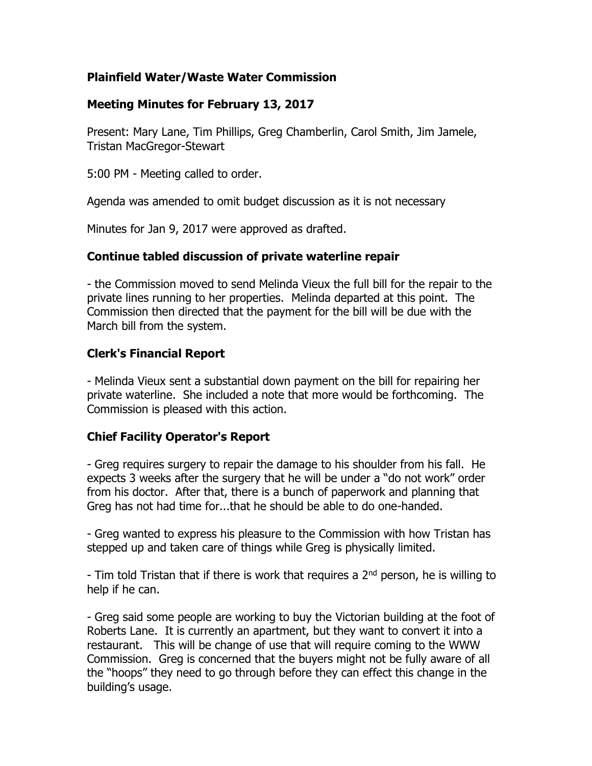### **Plainfield Water/Waste Water Commission**

# **Meeting Minutes for February 13, 2017**

Present: Mary Lane, Tim Phillips, Greg Chamberlin, Carol Smith, Jim Jamele, Tristan MacGregor-Stewart

5:00 PM - Meeting called to order.

Agenda was amended to omit budget discussion as it is not necessary

Minutes for Jan 9, 2017 were approved as drafted.

### **Continue tabled discussion of private waterline repair**

- the Commission moved to send Melinda Vieux the full bill for the repair to the private lines running to her properties. Melinda departed at this point. The Commission then directed that the payment for the bill will be due with the March bill from the system.

# **Clerk's Financial Report**

- Melinda Vieux sent a substantial down payment on the bill for repairing her private waterline. She included a note that more would be forthcoming. The Commission is pleased with this action.

### **Chief Facility Operator's Report**

- Greg requires surgery to repair the damage to his shoulder from his fall. He expects 3 weeks after the surgery that he will be under a "do not work" order from his doctor. After that, there is a bunch of paperwork and planning that Greg has not had time for...that he should be able to do one-handed.

- Greg wanted to express his pleasure to the Commission with how Tristan has stepped up and taken care of things while Greg is physically limited.

- Tim told Tristan that if there is work that requires a 2<sup>nd</sup> person, he is willing to help if he can.

- Greg said some people are working to buy the Victorian building at the foot of Roberts Lane. It is currently an apartment, but they want to convert it into a restaurant. This will be change of use that will require coming to the WWW Commission. Greg is concerned that the buyers might not be fully aware of all the "hoops" they need to go through before they can effect this change in the building's usage.